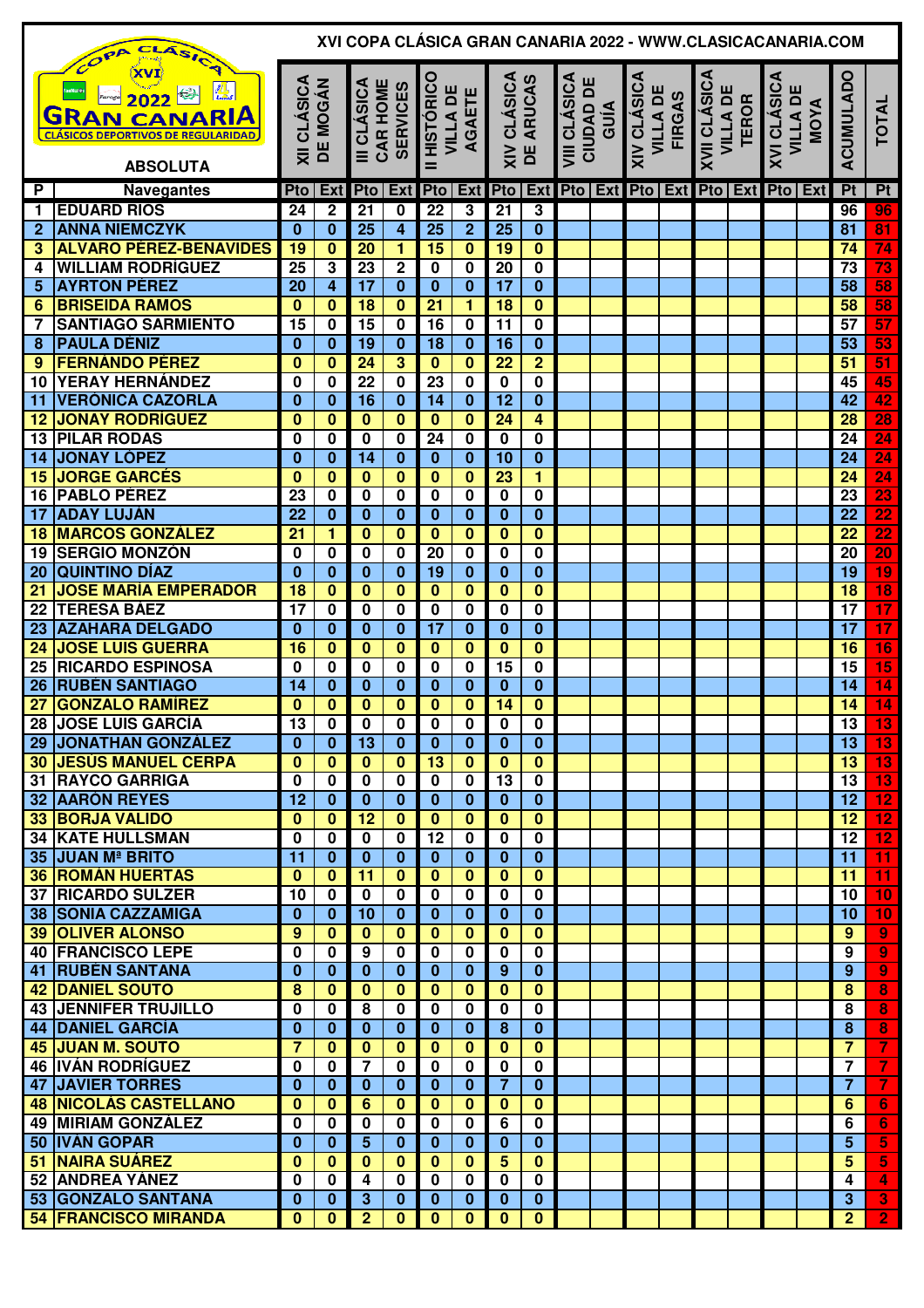|                 | XVI COPA CLÁSICA GRAN CANARIA 2022 - WWW.CLASICACANARIA.COM<br>ASICA<br>COPA                                            |                     |                                       |                            |                                            |                                    |                                           |                          |                                                    |                                         |      |                                                 |  |                                                        |  |                                        |  |                                           |                                    |
|-----------------|-------------------------------------------------------------------------------------------------------------------------|---------------------|---------------------------------------|----------------------------|--------------------------------------------|------------------------------------|-------------------------------------------|--------------------------|----------------------------------------------------|-----------------------------------------|------|-------------------------------------------------|--|--------------------------------------------------------|--|----------------------------------------|--|-------------------------------------------|------------------------------------|
|                 | <u>III.</u><br><b>KJ</b><br>2022<br><b>GRAN CANARIA</b><br><b>CLÁSICOS DEPORTIVOS DE REGULARIDAD</b><br><b>ABSOLUTA</b> |                     | <b>XII CLÁSICA</b><br><b>DE MOGÁN</b> |                            | III CLÁSICA<br>CAR HOME<br><b>SERVICES</b> |                                    | II HISTÓRICO<br><b>VILLA DE</b><br>AGAETE |                          | XIV CLÁSICA<br>DE ARUCAS                           | <b>VIII CLÁSICA</b><br><b>CIUDAD DE</b> | GUÍA | <b>XIV CLÁSICA</b><br><b>VILLA DE</b><br>FIRGAS |  | <b>XVII CLÁSICA</b><br><b>VILLA DE</b><br><b>TEROR</b> |  | XVI CLÁSICA<br><b>VILLA DE</b><br>MOYA |  | ACUMULADO                                 | <b>TOTAL</b>                       |
|                 |                                                                                                                         |                     |                                       |                            |                                            |                                    |                                           |                          |                                                    |                                         |      |                                                 |  |                                                        |  |                                        |  |                                           |                                    |
| P               | <b>Navegantes</b>                                                                                                       | Pto                 | Ext                                   |                            |                                            | Pto Ext Pto Ext Pto                |                                           |                          |                                                    |                                         |      |                                                 |  |                                                        |  | Ext Pto Ext Pto Ext Pto Ext Pto Ext    |  | P <sub>t</sub>                            | Pt                                 |
| 1               | <b>EDUARD RÍOS</b>                                                                                                      | 24                  | $\mathbf 2$                           | $\overline{21}$            | 0                                          | 22                                 | 3                                         | 21                       | 3                                                  |                                         |      |                                                 |  |                                                        |  |                                        |  | 96                                        | 96                                 |
| $\overline{2}$  | <b>ANNA NIEMCZYK</b><br><b>ALVARO PÉREZ-BENAVIDES</b>                                                                   | $\bf{0}$<br>19      | $\bf{0}$<br>$\bf{0}$                  | $\overline{25}$<br>20      | $\overline{\mathbf{4}}$<br>1               | $\overline{25}$<br>$\overline{15}$ | $\overline{2}$<br>$\overline{\mathbf{0}}$ | $\overline{25}$<br>19    | $\bf{0}$<br>$\bf{0}$                               |                                         |      |                                                 |  |                                                        |  |                                        |  | 81<br>$\overline{74}$                     | $\overline{81}$<br>$\overline{74}$ |
| 3               |                                                                                                                         | $\overline{25}$     |                                       | $\overline{23}$            |                                            |                                    |                                           | $\overline{20}$          |                                                    |                                         |      |                                                 |  |                                                        |  |                                        |  | $\overline{73}$                           | $\overline{73}$                    |
| 4               | <b>WILLIAM RODRÍGUEZ</b><br><b>AYRTON PÉREZ</b>                                                                         | 20                  | 3<br>$\overline{4}$                   | $\overline{17}$            | $\overline{2}$<br>$\bf{0}$                 | $\bf{0}$<br>$\bf{0}$               | 0<br>$\bf{0}$                             | $\overline{17}$          | $\overline{\mathbf{0}}$<br>$\overline{\mathbf{0}}$ |                                         |      |                                                 |  |                                                        |  |                                        |  | 58                                        |                                    |
| 5<br>6          | <b>BRISEIDA RAMOS</b>                                                                                                   | $\bf{0}$            | $\overline{\mathbf{0}}$               | $\overline{18}$            | $\bf{0}$                                   | $\overline{21}$                    | $\overline{\mathbf{1}}$                   | 18                       | $\overline{\mathbf{0}}$                            |                                         |      |                                                 |  |                                                        |  |                                        |  | 58                                        | $\frac{58}{58}$                    |
| 7               | <b>SANTIAGO SARMIENTO</b>                                                                                               | 15                  | $\bf{0}$                              | $\overline{15}$            | $\bf{0}$                                   | 16                                 | 0                                         | $\overline{11}$          | $\overline{\mathbf{0}}$                            |                                         |      |                                                 |  |                                                        |  |                                        |  | $\overline{57}$                           | $\overline{57}$                    |
| 8               | <b>PAULA DÉNIZ</b>                                                                                                      | $\bf{0}$            | $\bf{0}$                              | $\overline{19}$            | $\bf{0}$                                   | $\overline{18}$                    | $\bf{0}$                                  | $\overline{16}$          | $\overline{\mathbf{0}}$                            |                                         |      |                                                 |  |                                                        |  |                                        |  | $\overline{53}$                           | $\overline{53}$                    |
| 9               | <b>FERNÁNDO PÉREZ</b>                                                                                                   | $\bf{0}$            | $\bf{0}$                              | $\overline{24}$            | $\overline{\mathbf{3}}$                    | $\overline{\mathbf{0}}$            | $\bf{0}$                                  | $\overline{22}$          | $\overline{2}$                                     |                                         |      |                                                 |  |                                                        |  |                                        |  | 51                                        | $\overline{51}$                    |
| 10              | <b>YERAY HERNÁNDEZ</b>                                                                                                  | 0                   | 0                                     | $\overline{22}$            | $\bf{0}$                                   | 23                                 | 0                                         | $\mathbf 0$              | $\overline{\mathbf{0}}$                            |                                         |      |                                                 |  |                                                        |  |                                        |  | 45                                        | $\overline{45}$                    |
| 11              | <b>VERÓNICA CAZORLA</b>                                                                                                 | $\bf{0}$            | $\bf{0}$                              | $\overline{16}$            | $\bf{0}$                                   | $\overline{14}$                    | $\bf{0}$                                  | $\overline{12}$          | $\overline{\mathbf{0}}$                            |                                         |      |                                                 |  |                                                        |  |                                        |  | $\overline{42}$                           | $\overline{42}$                    |
| 12              | <b>JONAY RODRÍGUEZ</b>                                                                                                  | $\bf{0}$            | $\bf{0}$                              | $\bf{0}$                   | $\bf{0}$                                   | $\bf{0}$                           | $\bf{0}$                                  | $\overline{24}$          | 4                                                  |                                         |      |                                                 |  |                                                        |  |                                        |  | 28                                        | $\overline{28}$                    |
| 13              | <b>PILAR RODAS</b>                                                                                                      | 0                   | 0                                     | 0                          | 0                                          | 24                                 | 0                                         | 0                        | $\overline{\mathbf{0}}$                            |                                         |      |                                                 |  |                                                        |  |                                        |  | $\overline{24}$                           | 24                                 |
| 14              | <b>JONAY LÓPEZ</b>                                                                                                      | $\bf{0}$            | $\bf{0}$                              | 14                         | $\bf{0}$                                   | $\bf{0}$                           | $\bf{0}$                                  | $\overline{10}$          | $\overline{\mathbf{0}}$                            |                                         |      |                                                 |  |                                                        |  |                                        |  | $\overline{24}$                           | $\overline{24}$                    |
| 15              | <b>JORGE GARCES</b>                                                                                                     | 0                   | $\bf{0}$                              | $\bf{0}$                   | $\bf{0}$                                   | $\bf{0}$                           | $\bf{0}$                                  | $\overline{23}$          | 1                                                  |                                         |      |                                                 |  |                                                        |  |                                        |  | $\overline{24}$                           | 24                                 |
| 16              | <b>PABLO PÉREZ</b>                                                                                                      | 23                  | 0                                     | 0                          | 0                                          | 0                                  | 0                                         | 0                        | 0                                                  |                                         |      |                                                 |  |                                                        |  |                                        |  | 23                                        | $\overline{23}$                    |
| $\overline{17}$ | <b>ADAY LUJÁN</b>                                                                                                       | $\overline{22}$     | $\bf{0}$                              | 0                          | $\bf{0}$                                   | $\bf{0}$                           | $\bf{0}$                                  | $\bf{0}$                 | $\overline{\mathbf{0}}$                            |                                         |      |                                                 |  |                                                        |  |                                        |  | $\overline{22}$                           | $\overline{22}$                    |
| 18              | <b>MARCOS GONZÁLEZ</b>                                                                                                  | $\overline{21}$     | 1                                     | $\bf{0}$                   | $\bf{0}$                                   | $\bf{0}$                           | $\mathbf{0}$                              | 0                        | $\overline{\mathbf{0}}$                            |                                         |      |                                                 |  |                                                        |  |                                        |  | $\overline{22}$                           | $\overline{22}$                    |
| 19              | <b>SERGIO MONZÓN</b>                                                                                                    | 0                   | 0                                     | 0                          | $\bf{0}$                                   | 20                                 | $\mathbf 0$                               | 0                        | $\overline{\mathbf{0}}$                            |                                         |      |                                                 |  |                                                        |  |                                        |  | $\overline{20}$                           | $\overline{20}$                    |
| 20              | <b>QUINTINO DÍAZ</b>                                                                                                    | $\bf{0}$            | $\bf{0}$                              | $\bf{0}$                   | $\bf{0}$                                   | 19                                 | $\mathbf 0$                               | $\bf{0}$                 | $\overline{\mathbf{0}}$                            |                                         |      |                                                 |  |                                                        |  |                                        |  | $\overline{19}$                           | $\overline{19}$                    |
| 21              | <b>JOSE MARÍA EMPERADOR</b>                                                                                             | 18                  | $\pmb{0}$                             | $\bf{0}$                   | $\overline{\mathbf{0}}$                    | $\mathbf 0$                        | $\mathbf{0}$                              | $\bf{0}$                 | $\overline{\mathbf{0}}$                            |                                         |      |                                                 |  |                                                        |  |                                        |  | $\overline{18}$                           | 18                                 |
| 22              | <b>TERESA BÁEZ</b>                                                                                                      | 17                  | 0                                     | 0                          | $\bf{0}$                                   | $\bf{0}$                           | 0                                         | 0                        | $\pmb{0}$                                          |                                         |      |                                                 |  |                                                        |  |                                        |  | 17                                        | $\overline{17}$                    |
| 23              | <b>AZAHARA DELGADO</b>                                                                                                  | $\bf{0}$            | $\bf{0}$                              | $\bf{0}$                   | $\bf{0}$                                   | $\overline{17}$                    | $\bf{0}$                                  | $\bf{0}$                 | $\overline{\mathbf{0}}$                            |                                         |      |                                                 |  |                                                        |  |                                        |  | $\overline{17}$                           | $\overline{17}$                    |
| 24              | <b>JOSE LUIS GUERRA</b>                                                                                                 | 16                  | $\bf{0}$                              | $\bf{0}$                   | $\bf{0}$                                   | $\overline{\mathbf{0}}$            | $\bf{0}$                                  | $\bf{0}$                 | $\overline{\mathbf{0}}$                            |                                         |      |                                                 |  |                                                        |  |                                        |  | 16                                        | 16                                 |
| 25              | <b>RICARDO ESPINOSA</b>                                                                                                 | 0                   | $\bf{0}$                              | 0                          | 0                                          | $\bf{0}$                           | 0                                         | 15                       | 0                                                  |                                         |      |                                                 |  |                                                        |  |                                        |  | $\overline{15}$                           | $\overline{15}$                    |
| 26              | <b>RUBÉN SANTIAGO</b>                                                                                                   | 14                  | $\bf{0}$                              | $\bf{0}$                   | $\bf{0}$                                   | $\bf{0}$                           | $\bf{0}$                                  | $\bf{0}$                 | $\overline{\mathbf{0}}$                            |                                         |      |                                                 |  |                                                        |  |                                        |  | $\overline{14}$                           | 14                                 |
| $\overline{27}$ | <b>GONZALO RAMÍREZ</b>                                                                                                  | $\bf{0}$            | $\bf{0}$                              | $\bf{0}$                   | $\bf{0}$                                   | $\bf{0}$                           | $\bf{0}$                                  | $\overline{14}$          | $\overline{\mathbf{0}}$                            |                                         |      |                                                 |  |                                                        |  |                                        |  | $\overline{14}$                           | 14                                 |
|                 | 28 JOSE LUIS GARCÍA                                                                                                     | 13                  | $\overline{\mathbf{0}}$               | $\overline{\mathbf{0}}$    | $\overline{\mathbf{0}}$                    | $\overline{\mathbf{0}}$            | $\overline{\mathbf{0}}$                   | $\overline{\mathbf{0}}$  | $\overline{\mathbf{0}}$                            |                                         |      |                                                 |  |                                                        |  |                                        |  | $\overline{13}$                           | $\overline{13}$                    |
|                 | 29 JONATHAN GONZÁLEZ                                                                                                    | $\bf{0}$            | $\bf{0}$                              | $\overline{13}$            | $\mathbf{0}$                               | $\mathbf{0}$                       | $\bf{0}$                                  | $\mathbf{0}$             | $\bf{0}$                                           |                                         |      |                                                 |  |                                                        |  |                                        |  | 13                                        | $\overline{13}$                    |
|                 | <b>30 JESÚS MANUEL CERPA</b>                                                                                            | $\mathbf{0}$        | $\bf{0}$                              | $\mathbf{0}$               | $\mathbf{0}$                               | $\overline{13}$                    | $\mathbf{0}$                              | $\mathbf{0}$             | $\overline{\mathbf{0}}$                            |                                         |      |                                                 |  |                                                        |  |                                        |  | 13                                        | 13                                 |
|                 | 31   RAYCO GARRIGA                                                                                                      | 0                   | $\mathbf 0$                           | $\mathbf 0$                | $\mathbf 0$                                | $\mathbf 0$                        | $\mathbf 0$                               | $\overline{13}$          | $\overline{\mathbf{0}}$                            |                                         |      |                                                 |  |                                                        |  |                                        |  | 13                                        | $\overline{13}$                    |
|                 | <b>32 AARÓN REYES</b>                                                                                                   | $\overline{12}$     | $\mathbf{0}$                          | $\mathbf{0}$               | $\mathbf{0}$                               | $\bf{0}$                           | $\bf{0}$                                  | $\bf{0}$                 | $\overline{\mathbf{0}}$                            |                                         |      |                                                 |  |                                                        |  |                                        |  | 12                                        | 12                                 |
|                 | <b>33 BORJA VALIDO</b>                                                                                                  | $\mathbf 0$         | $\mathbf{0}$                          | 12                         | $\mathbf{0}$                               | $\mathbf{0}$                       | $\mathbf{0}$                              | $\mathbf{0}$             | $\overline{\mathbf{0}}$                            |                                         |      |                                                 |  |                                                        |  |                                        |  | 12 <sub>2</sub>                           | $\overline{12}$                    |
|                 | <b>34 KATE HULLSMAN</b>                                                                                                 | $\mathbf 0$         | $\mathbf 0$                           | $\mathbf 0$                | $\bf{0}$                                   | $\overline{12}$                    | $\mathbf 0$                               | $\mathbf{0}$             | $\overline{\mathbf{0}}$                            |                                         |      |                                                 |  |                                                        |  |                                        |  | $\overline{12}$                           | $\overline{12}$                    |
|                 | <b>35 JUAN Mª BRITO</b>                                                                                                 | 11                  | $\mathbf{0}$                          | $\bf{0}$                   | $\bf{0}$                                   | $\mathbf{0}$                       | $\bf{0}$                                  | $\bf{0}$                 | $\overline{\mathbf{0}}$                            |                                         |      |                                                 |  |                                                        |  |                                        |  | 11                                        | 11                                 |
|                 | <b>36 ROMÁN HUERTAS</b>                                                                                                 | $\mathbf 0$         | $\bf{0}$                              | 11                         | $\bf{0}$                                   | $\bf{0}$                           | $\bf{0}$                                  | $\bf{0}$                 | $\overline{\mathbf{0}}$                            |                                         |      |                                                 |  |                                                        |  |                                        |  | 11                                        | 11                                 |
|                 | <b>37 RICARDO SULZER</b>                                                                                                | 10                  | $\mathbf{0}$                          | $\mathbf{0}$               | $\bf{0}$                                   | $\bf{0}$                           | $\bf{0}$                                  | $\mathbf{0}$             | $\mathbf 0$                                        |                                         |      |                                                 |  |                                                        |  |                                        |  | 10                                        | 10                                 |
|                 | <b>38 SONIA CAZZAMIGA</b>                                                                                               | $\bf{0}$            | $\bf{0}$                              | 10                         | $\bf{0}$                                   | $\bf{0}$                           | $\bf{0}$                                  | $\bf{0}$                 | $\bf{0}$                                           |                                         |      |                                                 |  |                                                        |  |                                        |  | 10                                        | 10                                 |
|                 | <b>39 OLIVER ALONSO</b>                                                                                                 | 9                   | $\bf{0}$                              | 0                          | 0                                          | $\bf{0}$                           | $\bf{0}$                                  | $\bf{0}$                 | 0                                                  |                                         |      |                                                 |  |                                                        |  |                                        |  | 9                                         | $\overline{9}$                     |
|                 | <b>40 FRANCISCO LEPE</b>                                                                                                | $\bf{0}$            | $\bf{0}$                              | 9                          | $\bf{0}$                                   | $\bf{0}$                           | $\bf{0}$                                  | $\bf{0}$                 | 0                                                  |                                         |      |                                                 |  |                                                        |  |                                        |  | 9                                         | $\overline{9}$                     |
| 41              | <b>RUBÉN SANTANA</b>                                                                                                    | $\bf{0}$            | $\bf{0}$                              | $\bf{0}$                   | $\bf{0}$                                   | $\bf{0}$                           | $\bf{0}$                                  | 9                        | 0                                                  |                                         |      |                                                 |  |                                                        |  |                                        |  | 9                                         | $\overline{9}$                     |
|                 | <b>42 DANIEL SOUTO</b>                                                                                                  | 8                   | $\bf{0}$                              | $\bf{0}$                   | $\mathbf{0}$                               | $\bf{0}$                           | $\mathbf{0}$                              | $\mathbf{0}$             | $\mathbf{0}$                                       |                                         |      |                                                 |  |                                                        |  |                                        |  | 8                                         | 8                                  |
|                 | <b>43 JENNIFER TRUJILLO</b>                                                                                             | 0                   | $\mathbf 0$                           | 8                          | $\mathbf 0$                                | $\bf{0}$                           | $\mathbf{0}$                              | $\mathbf{0}$             | $\overline{\mathbf{0}}$                            |                                         |      |                                                 |  |                                                        |  |                                        |  | 8                                         | 8                                  |
|                 | <b>44 DANIEL GARCÍA</b>                                                                                                 | $\bf{0}$            | $\bf{0}$                              | $\bf{0}$                   | $\bf{0}$                                   | $\bf{0}$                           | $\bf{0}$                                  | 8                        | $\mathbf{0}$                                       |                                         |      |                                                 |  |                                                        |  |                                        |  | 8                                         | 8                                  |
|                 | <b>45 JUAN M. SOUTO</b><br><b>46 IVÁN RODRÍGUEZ</b>                                                                     | $\overline{7}$<br>0 | $\bf{0}$<br>$\mathbf 0$               | $\bf{0}$<br>$\overline{7}$ | $\mathbf{0}$<br>$\mathbf 0$                | $\mathbf{0}$<br>$\bf{0}$           | $\mathbf{0}$<br>$\mathbf 0$               | $\mathbf{0}$<br>$\bf{0}$ | $\mathbf{0}$<br>$\overline{\mathbf{0}}$            |                                         |      |                                                 |  |                                                        |  |                                        |  | $\overline{7}$<br>$\overline{\mathbf{7}}$ | $\overline{7}$                     |
|                 | <b>47 JAVIER TORRES</b>                                                                                                 | $\bf{0}$            | $\mathbf{0}$                          | $\bf{0}$                   | $\bf{0}$                                   | $\bf{0}$                           | $\mathbf{0}$                              | $\overline{7}$           | $\overline{\mathbf{0}}$                            |                                         |      |                                                 |  |                                                        |  |                                        |  | $\overline{7}$                            | $\overline{7}$                     |
|                 | <b>48 NICOLÁS CASTELLANO</b>                                                                                            | $\bf{0}$            | $\bf{0}$                              | 6                          | $\bf{0}$                                   | $\mathbf{0}$                       | $\bf{0}$                                  | $\mathbf{0}$             | $\mathbf{0}$                                       |                                         |      |                                                 |  |                                                        |  |                                        |  | 6                                         | $6\phantom{1}$                     |
|                 | <b>49 MIRIAM GONZÁLEZ</b>                                                                                               | $\bf{0}$            | $\mathbf 0$                           | $\mathbf 0$                | $\mathbf 0$                                | $\mathbf{0}$                       | $\mathbf 0$                               | 6                        | $\overline{\mathbf{0}}$                            |                                         |      |                                                 |  |                                                        |  |                                        |  | 6                                         | 6                                  |
|                 | 50 IVÁN GOPAR                                                                                                           | $\bf{0}$            | $\bf{0}$                              | 5                          | $\bf{0}$                                   | $\bf{0}$                           | $\bf{0}$                                  | $\bf{0}$                 | $\bf{0}$                                           |                                         |      |                                                 |  |                                                        |  |                                        |  | $5\phantom{.0}$                           | $\overline{\mathbf{5}}$            |
|                 | <b>51 NAIRA SUÁREZ</b>                                                                                                  | $\bf{0}$            | $\bf{0}$                              | $\bf{0}$                   | $\bf{0}$                                   | $\bf{0}$                           | $\bf{0}$                                  | $\overline{5}$           | $\mathbf{0}$                                       |                                         |      |                                                 |  |                                                        |  |                                        |  | 5                                         | 5                                  |
|                 | 52 ANDREA YÁNEZ                                                                                                         | 0                   | 0                                     | 4                          | $\bf{0}$                                   | $\bf{0}$                           | $\bf{0}$                                  | $\mathbf{0}$             | $\mathbf 0$                                        |                                         |      |                                                 |  |                                                        |  |                                        |  | 4                                         | $\overline{4}$                     |
|                 | 53 GONZALO SANTANA                                                                                                      | $\bf{0}$            | $\bf{0}$                              | 3                          | $\bf{0}$                                   | $\bf{0}$                           | $\bf{0}$                                  | $\bf{0}$                 | $\bf{0}$                                           |                                         |      |                                                 |  |                                                        |  |                                        |  | $\mathbf{3}$                              | $\overline{\mathbf{3}}$            |
|                 | <b>54 FRANCISCO MIRANDA</b>                                                                                             | 0                   | $\mathbf{0}$                          | $\mathbf{2}$               | 0                                          | $\bf{0}$                           | $\bf{0}$                                  | $\bf{0}$                 | $\bf{0}$                                           |                                         |      |                                                 |  |                                                        |  |                                        |  | $\overline{2}$                            | 2 <sub>1</sub>                     |
|                 |                                                                                                                         |                     |                                       |                            |                                            |                                    |                                           |                          |                                                    |                                         |      |                                                 |  |                                                        |  |                                        |  |                                           |                                    |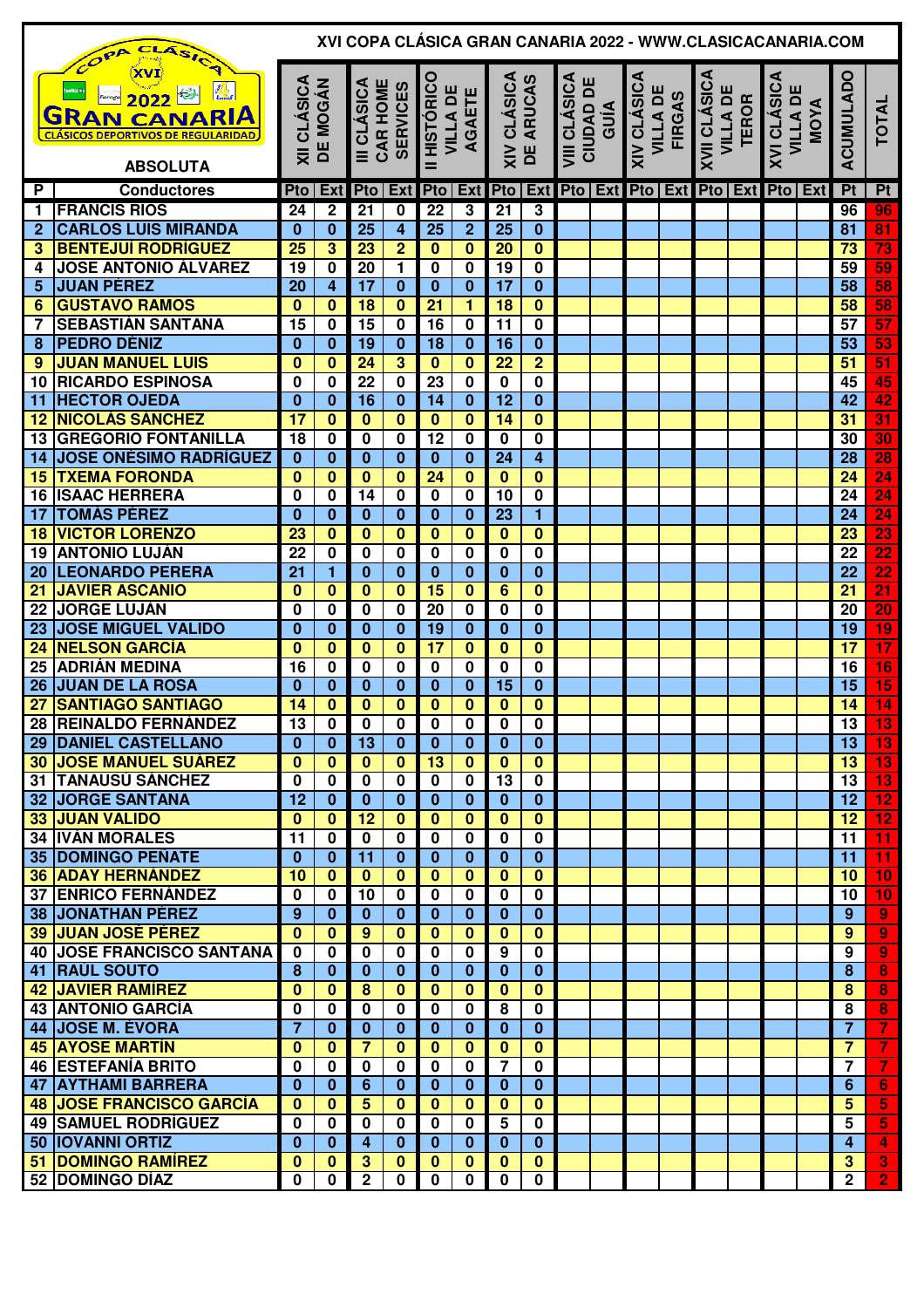|                 | XVI COPA CLÁSICA GRAN CANARIA 2022 - WWW.CLASICACANARIA.COM<br>CLASIC<br>COPA<br>ш                                                        |                         |                                |                         |                                            |                         |                                             |                         |                          |                                          |  |                                                                                       |  |                                                        |  |                                        |     |                 |                         |
|-----------------|-------------------------------------------------------------------------------------------------------------------------------------------|-------------------------|--------------------------------|-------------------------|--------------------------------------------|-------------------------|---------------------------------------------|-------------------------|--------------------------|------------------------------------------|--|---------------------------------------------------------------------------------------|--|--------------------------------------------------------|--|----------------------------------------|-----|-----------------|-------------------------|
|                 | $\frac{1}{L}$<br>Ka)<br>2022<br><b>GRAN CANARIA</b><br><b>CLÁSICOS DEPORTIVOS DE REGULARIDAD</b><br><b>ABSOLUTA</b><br><b>Conductores</b> |                         | XII CLÁSICA<br><b>DE MOGÁN</b> |                         | III CLÁSICA<br>CAR HOME<br><b>SERVICES</b> |                         | HISTÓRICO<br><b>VILLA DE</b><br>AGAETE<br>= |                         | XIV CLÁSICA<br>DE ARUCAS | <b>VIII CLÁSICA</b><br>CIUDAD DI<br>GUÍA |  | <b>XIV CLÁSICA</b><br><b>VILLA DE</b><br><b>FIRGAS</b><br>Pto   Ext   Pto   Ext   Pto |  | <b>XVII CLÁSICA</b><br><b>VILLA DE</b><br><b>TEROR</b> |  | XVI CLÁSICA<br><b>VILLA DE</b><br>MOYA |     | ACUMULADO       | <b>TOTAL</b>            |
| P               |                                                                                                                                           | Pto                     | Ext                            |                         | Pto   Ext                                  |                         | Pto   Ext                                   | <b>Pto</b>              |                          | <b>Ext</b> Pto Ext                       |  |                                                                                       |  |                                                        |  |                                        | Ext | P <sub>t</sub>  | Pt                      |
| 1               | <b>FRANCIS RÍOS</b>                                                                                                                       | 24                      | $\mathbf 2$                    | 21                      | 0                                          | $\overline{22}$         | 3                                           | 21                      | 3                        |                                          |  |                                                                                       |  |                                                        |  |                                        |     | 96              | 96                      |
| $\overline{2}$  | <b>CARLOS LUIS MIRANDA</b>                                                                                                                | $\bf{0}$                | $\bf{0}$                       | 25                      | 4                                          | 25                      | $\overline{2}$                              | 25                      | $\bf{0}$                 |                                          |  |                                                                                       |  |                                                        |  |                                        |     | 81              | 81                      |
| 3               | <b>BENTEJUÍ RODRÍGUEZ</b>                                                                                                                 | $\overline{25}$         | $\overline{\mathbf{3}}$        | 23                      | $\overline{2}$                             | $\overline{\mathbf{0}}$ | $\mathbf{0}$                                | $\overline{20}$         | $\bf{0}$                 |                                          |  |                                                                                       |  |                                                        |  |                                        |     | $\overline{73}$ | $\frac{1}{73}$          |
| 4               | <b>JOSE ANTONIO ÁLVAREZ</b>                                                                                                               | $\overline{19}$         | $\bf{0}$                       | $\overline{20}$         | 1                                          | $\bf{0}$                | $\bf{0}$                                    | 19                      | $\overline{\mathbf{0}}$  |                                          |  |                                                                                       |  |                                                        |  |                                        |     | 59              | 59                      |
| 5               | <b>JUAN PÉREZ</b>                                                                                                                         | 20                      | 4                              | $\overline{17}$         | $\bf{0}$                                   | $\bf{0}$                | $\bf{0}$                                    | $\overline{17}$         | $\overline{\mathbf{0}}$  |                                          |  |                                                                                       |  |                                                        |  |                                        |     | $\overline{58}$ | 58                      |
| 6               | <b>GUSTAVO RAMOS</b>                                                                                                                      | $\bf{0}$                | $\bf{0}$                       | $\overline{18}$         | $\bf{0}$                                   | $\overline{21}$         | 1                                           | 18                      | $\mathbf{0}$             |                                          |  |                                                                                       |  |                                                        |  |                                        |     | 58              | $\overline{58}$         |
| 7               | <b>SEBASTIÁN SANTANA</b>                                                                                                                  | 15                      | $\bf{0}$                       | $\overline{15}$         | $\bf{0}$                                   | 16                      | 0                                           | $\overline{11}$         | $\overline{\mathbf{0}}$  |                                          |  |                                                                                       |  |                                                        |  |                                        |     | $\overline{57}$ | $\overline{57}$         |
| 8               | <b>PEDRO DÉNIZ</b>                                                                                                                        | $\bf{0}$                | $\bf{0}$                       | 19                      | $\bf{0}$                                   | $\overline{18}$         | $\bf{0}$                                    | $\overline{16}$         | $\bf{0}$                 |                                          |  |                                                                                       |  |                                                        |  |                                        |     | 53              | $\overline{53}$         |
| 9               | <b>JUAN MANUEL LUIS</b>                                                                                                                   | $\bf{0}$                | $\bf{0}$                       | $\overline{24}$         | $\overline{\mathbf{3}}$                    | $\overline{\mathbf{0}}$ | $\overline{\mathbf{0}}$                     | $\overline{22}$         | $\overline{2}$           |                                          |  |                                                                                       |  |                                                        |  |                                        |     | $\overline{51}$ | $\overline{51}$         |
| 10              | <b>RICARDO ESPINOSA</b>                                                                                                                   | 0                       | $\bf{0}$                       | $\overline{22}$         | $\bf{0}$                                   | 23                      | 0                                           | $\overline{\mathbf{0}}$ | $\overline{\mathbf{0}}$  |                                          |  |                                                                                       |  |                                                        |  |                                        |     | 45              | 45                      |
| 11              | <b>HECTOR OJEDA</b>                                                                                                                       | $\bf{0}$                | $\bf{0}$                       | $\overline{16}$         | $\bf{0}$                                   | $\overline{14}$         | $\bf{0}$                                    | $\overline{12}$         | $\overline{\mathbf{0}}$  |                                          |  |                                                                                       |  |                                                        |  |                                        |     | $\overline{42}$ | $\overline{42}$         |
| 12              | <b>NICOLÁS SÁNCHEZ</b>                                                                                                                    | 17                      | $\bf{0}$                       | $\bf{0}$                | $\overline{\mathbf{0}}$                    | $\mathbf 0$             | $\bf{0}$                                    | $\overline{14}$         | $\overline{\mathbf{0}}$  |                                          |  |                                                                                       |  |                                                        |  |                                        |     | 31              | 31                      |
| 13              | <b>GREGORIO FONTANILLA</b>                                                                                                                | 18                      | $\mathbf 0$                    | 0                       | 0                                          | $\overline{12}$         | 0                                           | $\mathbf 0$             | $\overline{\mathbf{0}}$  |                                          |  |                                                                                       |  |                                                        |  |                                        |     | $\overline{30}$ | $\overline{30}$         |
| 14              | <b>JOSE ONÉSIMO RADRÍGUEZ</b>                                                                                                             | $\overline{\mathbf{0}}$ | $\bf{0}$                       | $\bf{0}$                | $\bf{0}$                                   | $\overline{\mathbf{0}}$ | $\bf{0}$                                    | $\overline{24}$         | $\overline{4}$           |                                          |  |                                                                                       |  |                                                        |  |                                        |     | $\overline{28}$ |                         |
| 15              | <b>TXEMA FORONDA</b>                                                                                                                      | $\bf{0}$                | $\bf{0}$                       | $\bf{0}$                | $\bf{0}$                                   | $\overline{24}$         | $\bf{0}$                                    | $\bf{0}$                | $\overline{\mathbf{0}}$  |                                          |  |                                                                                       |  |                                                        |  |                                        |     | $\overline{24}$ | $\frac{28}{24}$         |
| 16              | <b>ISAAC HERRERA</b>                                                                                                                      | 0                       | 0                              | 14                      | 0                                          | $\bf{0}$                | 0                                           | 10                      | 0                        |                                          |  |                                                                                       |  |                                                        |  |                                        |     | $\overline{24}$ | $\overline{24}$         |
| 17              | <b>TOMÁS PÉREZ</b>                                                                                                                        | $\bf{0}$                | $\bf{0}$                       | $\bf{0}$                | $\bf{0}$                                   | $\bf{0}$                | $\bf{0}$                                    | $\overline{23}$         | $\overline{\mathbf{1}}$  |                                          |  |                                                                                       |  |                                                        |  |                                        |     | $\overline{24}$ | $\overline{24}$         |
| 18              | <b>VICTOR LORENZO</b>                                                                                                                     | 23                      | 0                              | $\bf{0}$                | $\bf{0}$                                   | $\bf{0}$                | $\bf{0}$                                    | $\bf{0}$                | $\bf{0}$                 |                                          |  |                                                                                       |  |                                                        |  |                                        |     | $\overline{23}$ | 23                      |
| 19              | <b>ANTONIO LUJÁN</b>                                                                                                                      | $\overline{22}$         | 0                              | 0                       | 0                                          | 0                       | 0                                           | 0                       | 0                        |                                          |  |                                                                                       |  |                                                        |  |                                        |     | $\overline{22}$ | $\overline{22}$         |
| 20              | <b>LEONARDO PERERA</b>                                                                                                                    | 21                      | 1                              | $\bf{0}$                | $\bf{0}$                                   | $\bf{0}$                | $\bf{0}$                                    | $\bf{0}$                | $\overline{\mathbf{0}}$  |                                          |  |                                                                                       |  |                                                        |  |                                        |     | $\overline{22}$ | $\overline{22}$         |
| $\overline{21}$ | <b>JAVIER ASCANIO</b>                                                                                                                     | $\bf{0}$                | $\bf{0}$                       | $\bf{0}$                | $\bf{0}$                                   | 15                      | $\mathbf{0}$                                | 6                       | $\overline{\mathbf{0}}$  |                                          |  |                                                                                       |  |                                                        |  |                                        |     | $\overline{21}$ | $\overline{21}$         |
| 22              | <b>JORGE LUJÁN</b>                                                                                                                        | 0                       | $\mathbf 0$                    | 0                       | $\bf{0}$                                   | 20                      | $\mathbf 0$                                 | $\mathbf 0$             | 0                        |                                          |  |                                                                                       |  |                                                        |  |                                        |     | 20              | $\overline{20}$         |
| 23              | <b>JOSE MIGUEL VALIDO</b>                                                                                                                 | $\bf{0}$                | $\bf{0}$                       | $\bf{0}$                | $\bf{0}$                                   | 19                      | $\bf{0}$                                    | $\bf{0}$                | $\overline{\mathbf{0}}$  |                                          |  |                                                                                       |  |                                                        |  |                                        |     | $\overline{19}$ | $\overline{19}$         |
| 24              | <b>NELSON GARCÍA</b>                                                                                                                      | $\bf{0}$                | 0                              | $\bf{0}$                | $\mathbf 0$                                | $\overline{17}$         | $\mathbf{0}$                                | $\bf{0}$                | $\mathbf 0$              |                                          |  |                                                                                       |  |                                                        |  |                                        |     | $\overline{17}$ | $\overline{17}$         |
| 25              | <b>ADRIÁN MEDINA</b>                                                                                                                      | 16                      | 0                              | 0                       | 0                                          | 0                       | 0                                           | 0                       | $\mathbf 0$              |                                          |  |                                                                                       |  |                                                        |  |                                        |     | 16              | $\overline{16}$         |
| 26              | <b>JUAN DE LA ROSA</b>                                                                                                                    | $\bf{0}$                | 0                              | $\bf{0}$                | $\bf{0}$                                   | $\bf{0}$                | $\bf{0}$                                    | $\overline{15}$         | $\bf{0}$                 |                                          |  |                                                                                       |  |                                                        |  |                                        |     | $\overline{15}$ | 15                      |
| $\overline{27}$ | <b>SANTIAGO SANTIAGO</b>                                                                                                                  | $\overline{14}$         | $\bf{0}$                       | $\bf{0}$                | $\mathbf{0}$                               | $\bf{0}$                | $\bf{0}$                                    | $\bf{0}$                | $\overline{\mathbf{0}}$  |                                          |  |                                                                                       |  |                                                        |  |                                        |     | 14              | $\overline{14}$         |
|                 | 28 REINALDO FERNÁNDEZ                                                                                                                     | 13                      | $\overline{\mathbf{0}}$        | $\overline{\mathbf{0}}$ | $\overline{\mathbf{0}}$                    | $\overline{\mathbf{0}}$ | $\overline{\mathbf{0}}$                     | $\overline{\mathbf{0}}$ | $\overline{\mathbf{0}}$  |                                          |  |                                                                                       |  |                                                        |  |                                        |     | 13              | $\overline{13}$         |
|                 | <b>29 DANIEL CASTELLANO</b>                                                                                                               | $\bf{0}$                | $\mathbf{0}$                   | $\overline{13}$         | $\bf{0}$                                   | $\bf{0}$                | $\bf{0}$                                    | $\bf{0}$                | $\bf{0}$                 |                                          |  |                                                                                       |  |                                                        |  |                                        |     | $\overline{13}$ | 13                      |
|                 | <b>30 JOSE MANUEL SUÁREZ</b>                                                                                                              | $\bf{0}$                | $\bf{0}$                       | $\bf{0}$                | $\bf{0}$                                   | 13                      | $\bf{0}$                                    | $\bf{0}$                | $\mathbf{0}$             |                                          |  |                                                                                       |  |                                                        |  |                                        |     | 13              | 13                      |
|                 | 31 TANAUSÚ SÁNCHEZ                                                                                                                        | 0                       | $\mathbf 0$                    | $\mathbf 0$             | $\mathbf 0$                                | $\bf{0}$                | $\mathbf 0$                                 | $\overline{13}$         | $\overline{\mathbf{0}}$  |                                          |  |                                                                                       |  |                                                        |  |                                        |     | $\overline{13}$ | 13                      |
|                 | <b>32 JORGE SANTANA</b>                                                                                                                   | 12                      | $\bf{0}$                       | $\bf{0}$                | $\bf{0}$                                   | $\bf{0}$                | $\bf{0}$                                    | $\bf{0}$                | $\bf{0}$                 |                                          |  |                                                                                       |  |                                                        |  |                                        |     | 12              | $\overline{12}$         |
|                 | <b>33 JUAN VALIDO</b>                                                                                                                     | $\bf{0}$                | $\bf{0}$                       | $\overline{12}$         | $\bf{0}$                                   | $\mathbf{0}$            | $\mathbf{0}$                                | $\bf{0}$                | $\overline{\mathbf{0}}$  |                                          |  |                                                                                       |  |                                                        |  |                                        |     | $\overline{12}$ | $\overline{12}$         |
|                 | <b>34 IVÁN MORALES</b>                                                                                                                    | 11                      | $\mathbf 0$                    | $\mathbf 0$             | $\mathbf 0$                                | $\bf{0}$                | $\mathbf 0$                                 | $\mathbf 0$             | $\overline{\mathbf{0}}$  |                                          |  |                                                                                       |  |                                                        |  |                                        |     | 11              | 11                      |
|                 | <b>35 DOMINGO PEÑATE</b>                                                                                                                  | $\bf{0}$                | $\bf{0}$                       | 11                      | $\mathbf{0}$                               | $\bf{0}$                | $\bf{0}$                                    | $\bf{0}$                | $\overline{\mathbf{0}}$  |                                          |  |                                                                                       |  |                                                        |  |                                        |     | 11              | 11                      |
|                 | <b>36 ADAY HERNÁNDEZ</b>                                                                                                                  | 10                      | $\bf{0}$                       | $\mathbf{0}$            | $\mathbf{0}$                               | $\bf{0}$                | $\mathbf{0}$                                | $\mathbf{0}$            | $\overline{\mathbf{0}}$  |                                          |  |                                                                                       |  |                                                        |  |                                        |     | 10              | 10                      |
|                 | <b>37 ENRICO FERNÁNDEZ</b>                                                                                                                | $\mathbf 0$             | $\mathbf 0$                    | 10                      | $\mathbf 0$                                | $\bf{0}$                | $\bf{0}$                                    | $\mathbf{0}$            | $\overline{\mathbf{0}}$  |                                          |  |                                                                                       |  |                                                        |  |                                        |     | 10              | 10                      |
|                 | <b>38 JONATHAN PÉREZ</b>                                                                                                                  | 9                       | $\bf{0}$                       | $\bf{0}$                | $\bf{0}$                                   | $\bf{0}$                | $\bf{0}$                                    | $\bf{0}$                | $\overline{\mathbf{0}}$  |                                          |  |                                                                                       |  |                                                        |  |                                        |     | 9               | $\boldsymbol{9}$        |
|                 | <b>39 JUAN JOSÉ PÉREZ</b>                                                                                                                 | $\bf{0}$                | $\bf{0}$                       | 9                       | $\bf{0}$                                   | $\bf{0}$                | $\bf{0}$                                    | $\bf{0}$                | $\bf{0}$                 |                                          |  |                                                                                       |  |                                                        |  |                                        |     | 9               | $\overline{9}$          |
|                 | <b>40 JOSE FRANCISCO SANTANA</b>                                                                                                          | 0                       | $\bf{0}$                       | 0                       | $\bf{0}$                                   | $\bf{0}$                | $\bf{0}$                                    | 9                       | $\mathbf 0$              |                                          |  |                                                                                       |  |                                                        |  |                                        |     | 9               | $\overline{9}$          |
| 41              | <b>RAÚL SOUTO</b>                                                                                                                         | 8                       | $\bf{0}$                       | $\bf{0}$                | $\bf{0}$                                   | $\bf{0}$                | $\bf{0}$                                    | $\bf{0}$                | 0                        |                                          |  |                                                                                       |  |                                                        |  |                                        |     | 8               | 8                       |
| 42              | <b>JAVIER RAMÍREZ</b>                                                                                                                     | $\bf{0}$                | 0                              | 8                       | 0                                          | $\bf{0}$                | 0                                           | $\bf{0}$                | 0                        |                                          |  |                                                                                       |  |                                                        |  |                                        |     | 8               | 8                       |
|                 | <b>43 ANTONIO GARCÍA</b>                                                                                                                  | $\bf{0}$                | $\mathbf 0$                    | 0                       | $\bf{0}$                                   | $\bf{0}$                | 0                                           | 8                       | $\overline{\mathbf{0}}$  |                                          |  |                                                                                       |  |                                                        |  |                                        |     | 8               | $\overline{\mathbf{8}}$ |
| 44              | <b>JOSE M. ÉVORA</b>                                                                                                                      | 7                       | $\bf{0}$                       | $\bf{0}$                | $\bf{0}$                                   | $\bf{0}$                | $\bf{0}$                                    | $\bf{0}$                | 0                        |                                          |  |                                                                                       |  |                                                        |  |                                        |     | $\overline{7}$  | 7                       |
|                 | <b>45 AYOSE MARTÍN</b>                                                                                                                    | $\bf{0}$                | $\bf{0}$                       | $\overline{7}$          | $\bf{0}$                                   | $\bf{0}$                | $\bf{0}$                                    | $\bf{0}$                | 0                        |                                          |  |                                                                                       |  |                                                        |  |                                        |     | $\overline{7}$  | $\overline{7}$          |
|                 | <b>46 ESTEFANÍA BRITO</b>                                                                                                                 | $\bf{0}$                | $\mathbf 0$                    | 0                       | $\mathbf 0$                                | $\bf{0}$                | $\mathbf{0}$                                | 7                       | $\overline{\mathbf{0}}$  |                                          |  |                                                                                       |  |                                                        |  |                                        |     | 7               | $\overline{\mathbf{7}}$ |
| 47              | <b>AYTHAMI BARRERA</b>                                                                                                                    | $\bf{0}$                | $\bf{0}$                       | 6                       | $\bf{0}$                                   | $\bf{0}$                | $\bf{0}$                                    | $\bf{0}$                | 0                        |                                          |  |                                                                                       |  |                                                        |  |                                        |     | 6               | $6\phantom{1}6$         |
|                 | <b>48 JOSE FRANCISCO GARCÍA</b>                                                                                                           | $\bf{0}$                | $\bf{0}$                       | 5                       | $\mathbf{0}$                               | $\bf{0}$                | $\mathbf{0}$                                | $\mathbf{0}$            | $\mathbf{0}$             |                                          |  |                                                                                       |  |                                                        |  |                                        |     | 5               | 5                       |
|                 | <b>49 SAMUEL RODRÍGUEZ</b>                                                                                                                | 0                       | $\mathbf 0$                    | $\bf{0}$                | $\bf{0}$                                   | $\bf{0}$                | $\bf{0}$                                    | 5                       | $\overline{\mathbf{0}}$  |                                          |  |                                                                                       |  |                                                        |  |                                        |     | 5               | 5                       |
|                 | <b>50 IOVANNI ORTIZ</b>                                                                                                                   | $\mathbf{0}$            | $\mathbf{0}$                   | 4                       | $\bf{0}$                                   | $\bf{0}$                | $\bf{0}$                                    | $\bf{0}$                | $\mathbf{0}$             |                                          |  |                                                                                       |  |                                                        |  |                                        |     | $\overline{4}$  | 4                       |
|                 | 51   DOMINGO RAMÍREZ                                                                                                                      | $\bf{0}$                | $\mathbf{0}$                   | 3                       | $\bf{0}$                                   | $\bf{0}$                | $\bf{0}$                                    | $\bf{0}$                | $\bf{0}$                 |                                          |  |                                                                                       |  |                                                        |  |                                        |     | $\mathbf{3}$    | $\overline{\mathbf{3}}$ |
|                 | 52 DOMINGO DÍAZ                                                                                                                           | 0                       | $\overline{\mathbf{0}}$        | $\overline{2}$          | $\mathbf 0$                                | $\mathbf 0$             | 0                                           | $\mathbf 0$             | $\overline{\mathbf{0}}$  |                                          |  |                                                                                       |  |                                                        |  |                                        |     | $\overline{2}$  | $\overline{2}$          |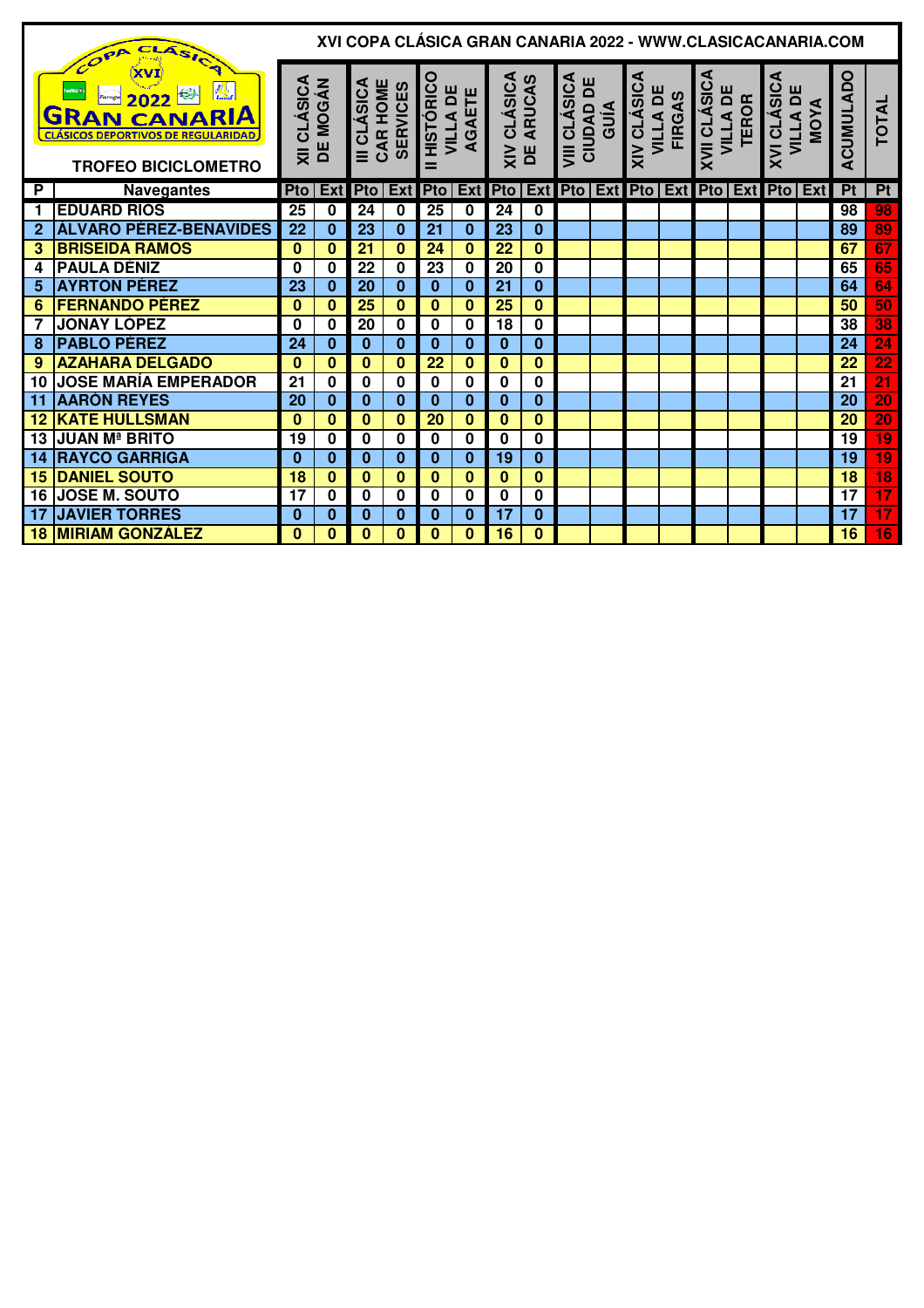|                   | CLASICA<br>COPA                                                                                                                                                               |                                 |          |                                            |             |                                          |             |                                 |                         |                                                 |  |                                                        |  |                                                        |  |                                             | XVI COPA CLASICA GRAN CANARIA 2022 - WWW.CLASICACANARIA.COM |                 |                          |
|-------------------|-------------------------------------------------------------------------------------------------------------------------------------------------------------------------------|---------------------------------|----------|--------------------------------------------|-------------|------------------------------------------|-------------|---------------------------------|-------------------------|-------------------------------------------------|--|--------------------------------------------------------|--|--------------------------------------------------------|--|---------------------------------------------|-------------------------------------------------------------|-----------------|--------------------------|
|                   | <b>XVI</b><br>القراري<br>كەنسىيە<br>fanfilot@r<br>KB.<br>2022<br>Faroga<br><b>RAN CANARIA</b><br>G<br><b>CLÁSICOS DEPORTIVOS DE REGULARIDAD</b><br><b>TROFEO BICICLOMETRO</b> | <b>XII CLÁSICA<br/>DE MOGÁN</b> |          | CAR HOME<br>III CLÁSICA<br><b>SERVICES</b> |             | <b>HISTÓRICO</b><br><b>VILLA DE</b><br>= | AGAETE      | <b>XIV CLÁSICA</b><br>DE ARUCAS |                         | <b>VIII CLÁSICA</b><br><b>CIUDAD DE</b><br>GUÍA |  | <b>XIV CLÁSICA</b><br><b>VILLA DE</b><br><b>FIRGAS</b> |  | <b>XVII CLÁSICA</b><br><b>VILLA DE</b><br><b>TEROR</b> |  | XVI CLÁSICA                                 | <b>VILLA DE</b><br>MOYA<br><b>MOY</b>                       | ACUMULADO       | <b>TOTAL</b>             |
| P                 | <b>Navegantes</b>                                                                                                                                                             | Pto                             | Ext      | <b>Pto</b>                                 | <b>Ext</b>  | Pto                                      | Ext         | <b>Pto</b>                      |                         |                                                 |  |                                                        |  |                                                        |  | Ext Pto   Ext Pto   Ext Pto   Ext Pto   Ext |                                                             | P <sub>t</sub>  | Pt                       |
| 1                 | <b>EDUARD RIOS</b>                                                                                                                                                            | 25                              | 0        | 24                                         | $\mathbf 0$ | 25                                       | $\mathbf 0$ | 24                              | 0                       |                                                 |  |                                                        |  |                                                        |  |                                             |                                                             | 98              | 98                       |
| $\mathbf{2}$      | ÁLVARO PÉREZ-BENAVIDES                                                                                                                                                        | 22                              | 0        | 23                                         | 0           | 21                                       | $\bf{0}$    | 23                              | $\bf{0}$                |                                                 |  |                                                        |  |                                                        |  |                                             |                                                             | 89              | $\frac{89}{67}$          |
| 3                 | <b>BRISEIDA RAMOS</b>                                                                                                                                                         | $\bf{0}$                        | $\bf{0}$ | $\overline{21}$                            | $\bf{0}$    | 24                                       | $\bf{0}$    | 22                              | $\overline{\mathbf{0}}$ |                                                 |  |                                                        |  |                                                        |  |                                             |                                                             | 67              |                          |
| 4                 | <b>PAULA DÉNIZ</b>                                                                                                                                                            | $\bf{0}$                        | 0        | 22                                         | 0           | 23                                       | 0           | 20                              | 0                       |                                                 |  |                                                        |  |                                                        |  |                                             |                                                             | 65              | 65                       |
| 5                 | <b>AYRTON PÉREZ</b>                                                                                                                                                           | 23                              | 0        | 20                                         | $\bf{0}$    | $\bf{0}$                                 | $\bf{0}$    | 21                              | $\bf{0}$                |                                                 |  |                                                        |  |                                                        |  |                                             |                                                             | 64              | 64                       |
| 6                 | <b>FERNANDO PÉREZ</b>                                                                                                                                                         | $\bf{0}$                        | $\bf{0}$ | 25                                         | $\bf{0}$    | $\mathbf{0}$                             | $\bf{0}$    | 25                              | $\bf{0}$                |                                                 |  |                                                        |  |                                                        |  |                                             |                                                             | 50              | 50                       |
|                   | <b>JONAY LÓPEZ</b>                                                                                                                                                            | 0                               | 0        | 20                                         | 0           | $\mathbf 0$                              | 0           | 18                              | 0                       |                                                 |  |                                                        |  |                                                        |  |                                             |                                                             | 38              | $\overline{38}$          |
| 8                 | <b>PABLO PÉREZ</b>                                                                                                                                                            | 24                              | $\bf{0}$ | $\bf{0}$                                   | $\bf{0}$    | $\bf{0}$                                 | $\bf{0}$    | $\bf{0}$                        | $\bf{0}$                |                                                 |  |                                                        |  |                                                        |  |                                             |                                                             | 24              | $\overline{24}$          |
| 9                 | <b>AZAHARA DELGADO</b>                                                                                                                                                        | $\bf{0}$                        | $\bf{0}$ | $\bf{0}$                                   | 0           | 22                                       | $\bf{0}$    | $\bf{0}$                        | $\bf{0}$                |                                                 |  |                                                        |  |                                                        |  |                                             |                                                             | 22              | $\overline{22}$          |
| 10                | <b>JOSE MARÍA EMPERADOR</b>                                                                                                                                                   | 21                              | 0        | $\bf{0}$                                   | 0           | $\bf{0}$                                 | $\bf{0}$    | 0                               | 0                       |                                                 |  |                                                        |  |                                                        |  |                                             |                                                             | 21              | $\overline{21}$          |
| 11                | <b>AARÓN REYES</b>                                                                                                                                                            | 20                              | $\bf{0}$ | $\bf{0}$                                   | $\bf{0}$    | $\bf{0}$                                 | $\bf{0}$    | $\bf{0}$                        | $\bf{0}$                |                                                 |  |                                                        |  |                                                        |  |                                             |                                                             | 20              | $\overline{20}$          |
| $12 \overline{ }$ | <b>KATE HULLSMAN</b>                                                                                                                                                          | $\bf{0}$                        | $\bf{0}$ | $\bf{0}$                                   | $\bf{0}$    | 20                                       | $\bf{0}$    | $\bf{0}$                        | $\bf{0}$                |                                                 |  |                                                        |  |                                                        |  |                                             |                                                             | 20              | 20                       |
| 13                | <b>JUAN Mª BRITO</b>                                                                                                                                                          | 19                              | 0        | $\bf{0}$                                   | 0           | $\bf{0}$                                 | $\mathbf 0$ | $\bf{0}$                        | 0                       |                                                 |  |                                                        |  |                                                        |  |                                             |                                                             | 19              | $\overline{19}$          |
| 14                | <b>RAYCO GARRIGA</b>                                                                                                                                                          | $\bf{0}$                        | $\bf{0}$ | $\bf{0}$                                   | $\bf{0}$    | $\bf{0}$                                 | $\bf{0}$    | 19                              | $\bf{0}$                |                                                 |  |                                                        |  |                                                        |  |                                             |                                                             | 19              | $\overline{19}$          |
| 15                | <b>DANIEL SOUTO</b>                                                                                                                                                           | 18                              | $\bf{0}$ | $\bf{0}$                                   | $\bf{0}$    | $\mathbf{0}$                             | $\bf{0}$    | $\bf{0}$                        | $\bf{0}$                |                                                 |  |                                                        |  |                                                        |  |                                             |                                                             | $\overline{18}$ | $\overline{18}$          |
| 16                | <b>JOSE M. SOUTO</b>                                                                                                                                                          | 17                              | 0        | $\bf{0}$                                   | 0           | $\bf{0}$                                 | 0           | $\bf{0}$                        | 0                       |                                                 |  |                                                        |  |                                                        |  |                                             |                                                             | 17              |                          |
| 17                | <b>JAVIER TORRES</b>                                                                                                                                                          | $\bf{0}$                        | $\bf{0}$ | 0                                          | $\bf{0}$    | $\bf{0}$                                 | $\bf{0}$    | 17                              | 0                       |                                                 |  |                                                        |  |                                                        |  |                                             |                                                             | 17              | $\overline{\mathbf{17}}$ |
| 18                | <b>MIRIAM GONZÁLEZ</b>                                                                                                                                                        | $\bf{0}$                        | $\bf{0}$ | 0                                          | $\bf{0}$    | $\bf{0}$                                 | $\bf{0}$    | 16                              | $\bf{0}$                |                                                 |  |                                                        |  |                                                        |  |                                             |                                                             | 16              | 16                       |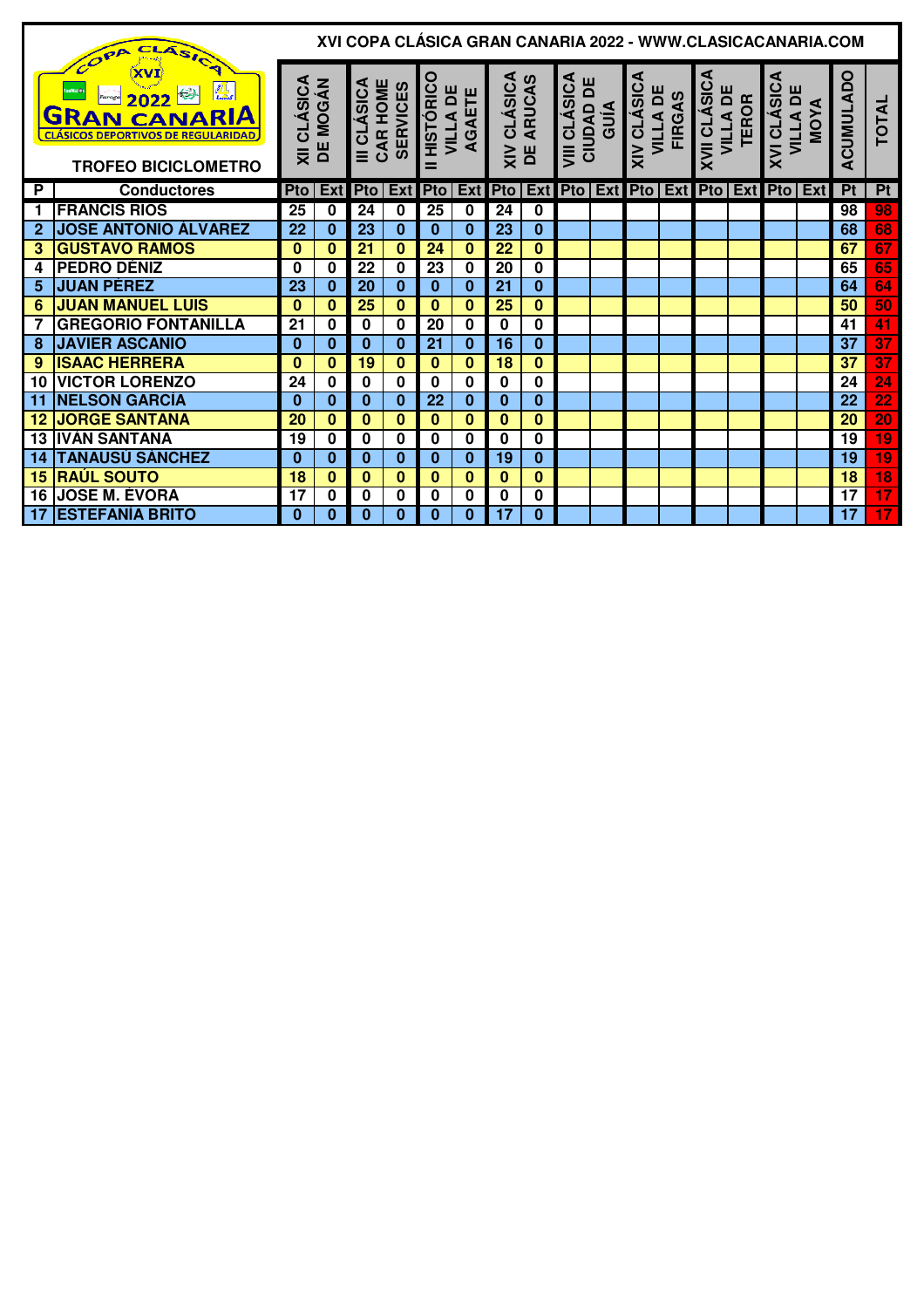|             | CLASICA<br>COPA                                                                                                                                  |          |                                 |                         |                 |                                   |                        |                                  |          |                                   |                    |                           |                     |                           | XVI COPA CLASICA GRAN CANARIA 2022 - WWW.CLASICACANARIA.COM                       |           |                      |                 |
|-------------|--------------------------------------------------------------------------------------------------------------------------------------------------|----------|---------------------------------|-------------------------|-----------------|-----------------------------------|------------------------|----------------------------------|----------|-----------------------------------|--------------------|---------------------------|---------------------|---------------------------|-----------------------------------------------------------------------------------|-----------|----------------------|-----------------|
|             | <b>TA</b><br>fanffot@r<br> <br>2022<br>Faroga<br><b>GRAN CANARIA</b><br><b>CLÁSICOS DEPORTIVOS DE REGULARIDAD.</b><br><b>TROFEO BICICLOMETRO</b> |          | <b>CLÁSICA</b><br>E MOGÁN<br>DE | CAR HOME<br>III CLÁSICA | <b>SERVICES</b> | HISTÓRICO<br><b>VILLA DE</b><br>= | 쁜<br>AGAE <sup>-</sup> | <b>XIV CLÁSICA<br/>DE ARUCAS</b> |          | VIII CLÁSICA<br>CIUDAD DE<br>GUÍA | <b>XIV CLÁSICA</b> | VILLA DE<br><b>FIRGAS</b> | <b>XVII CLÁSICA</b> | <b>VILLA DE<br/>TEROR</b> | <b>XVI CLÁSICA</b><br><b>VILLA DE</b>                                             | ◀<br>MOY. | <b>CUMULADO</b><br>∢ | <b>TOTAL</b>    |
| <b>P</b>    | <b>Conductores</b>                                                                                                                               |          | $Pto$ Ext                       |                         |                 |                                   |                        |                                  |          |                                   |                    |                           |                     |                           | Pto   Ext   Pto   Ext   Pto   Ext   Pto   Ext   Pto   Ext   Pto   Ext   Pto   Ext |           | Pt                   | Pt              |
| $\mathbf 1$ | <b>FRANCIS RIOS</b>                                                                                                                              | 25       | 0                               | 24                      | 0               | 25                                | $\bf{0}$               | 24                               | 0        |                                   |                    |                           |                     |                           |                                                                                   |           | 98                   | 98              |
| $\mathbf 2$ | <b>JOSE ANTONIO ÁLVAREZ</b>                                                                                                                      | 22       | $\bf{0}$                        | 23                      | 0               | $\bf{0}$                          | $\bf{0}$               | 23                               | $\bf{0}$ |                                   |                    |                           |                     |                           |                                                                                   |           | 68                   | 68              |
| 3           | <b>GUSTAVO RAMOS</b>                                                                                                                             | $\bf{0}$ | 0                               | 21                      | $\bf{0}$        | 24                                | $\bf{0}$               | 22                               | $\bf{0}$ |                                   |                    |                           |                     |                           |                                                                                   |           | 67                   | 67              |
| 4           | <b>PEDRO DÉNIZ</b>                                                                                                                               | 0        | 0                               | 22                      | 0               | 23                                | 0                      | 20                               | 0        |                                   |                    |                           |                     |                           |                                                                                   |           | 65                   | 65              |
| 5           | <b>JUAN PÉREZ</b>                                                                                                                                | 23       | 0                               | 20                      | $\bf{0}$        | $\bf{0}$                          | $\bf{0}$               | 21                               | $\bf{0}$ |                                   |                    |                           |                     |                           |                                                                                   |           | 64                   | 64              |
| 6           | <b>JUAN MANUEL LUIS</b>                                                                                                                          | $\bf{0}$ | $\bf{0}$                        | 25                      | 0               | $\mathbf{0}$                      | $\bf{0}$               | 25                               | $\bf{0}$ |                                   |                    |                           |                     |                           |                                                                                   |           | 50                   | 50              |
| 7           | <b>GREGORIO FONTANILLA</b>                                                                                                                       | 21       | 0                               | $\bf{0}$                | 0               | 20                                | $\bf{0}$               | $\bf{0}$                         | 0        |                                   |                    |                           |                     |                           |                                                                                   |           | 41                   | 41              |
| 8           | <b>JAVIER ASCANIO</b>                                                                                                                            | $\bf{0}$ | $\bf{0}$                        | $\bf{0}$                | $\bf{0}$        | 21                                | $\bf{0}$               | 16                               | $\bf{0}$ |                                   |                    |                           |                     |                           |                                                                                   |           | 37                   | 37              |
| 9           | <b>ISAAC HERRERA</b>                                                                                                                             | $\bf{0}$ | 0                               | 19                      | 0               | $\bf{0}$                          | $\bf{0}$               | 18                               | $\bf{0}$ |                                   |                    |                           |                     |                           |                                                                                   |           | 37                   | $\overline{37}$ |
| 10          | <b>VICTOR LORENZO</b>                                                                                                                            | 24       | 0                               | $\bf{0}$                | 0               | $\bf{0}$                          | $\bf{0}$               | 0                                | 0        |                                   |                    |                           |                     |                           |                                                                                   |           | 24                   | 24              |
| 11          | <b>NELSON GARCÍA</b>                                                                                                                             | $\bf{0}$ | $\bf{0}$                        | $\bf{0}$                | $\bf{0}$        | 22                                | $\mathbf{0}$           | $\bf{0}$                         | $\bf{0}$ |                                   |                    |                           |                     |                           |                                                                                   |           | 22                   | $\overline{22}$ |
| 12          | <b>JORGE SANTANA</b>                                                                                                                             | 20       | $\bf{0}$                        | $\bf{0}$                | $\bf{0}$        | $\mathbf{0}$                      | $\bf{0}$               | $\bf{0}$                         | $\bf{0}$ |                                   |                    |                           |                     |                           |                                                                                   |           | 20                   | $\overline{20}$ |
| 13          | <b>IVÁN SANTANA</b>                                                                                                                              | 19       | 0                               | 0                       | 0               | $\bf{0}$                          | $\bf{0}$               | 0                                | 0        |                                   |                    |                           |                     |                           |                                                                                   |           | 19                   | 19              |
| 14          | <b>TANAUSÚ SÁNCHEZ</b>                                                                                                                           | 0        | $\bf{0}$                        | $\Omega$                | $\bf{0}$        | $\Omega$                          | $\bf{0}$               | 19                               | $\bf{0}$ |                                   |                    |                           |                     |                           |                                                                                   |           | 19                   | 19              |
| 15          | <b>RAÚL SOUTO</b>                                                                                                                                | 18       | 0                               | 0                       | $\bf{0}$        | $\bf{0}$                          | $\mathbf{0}$           | $\bf{0}$                         | $\bf{0}$ |                                   |                    |                           |                     |                           |                                                                                   |           | 18                   | 18              |
| 16          | <b>JOSE M. ÉVORA</b>                                                                                                                             | 17       | 0                               | 0                       | 0               | 0                                 | 0                      | 0                                | 0        |                                   |                    |                           |                     |                           |                                                                                   |           | 17                   | $\overline{17}$ |
| 17          | <b>ESTEFANÍA BRITO</b>                                                                                                                           | $\bf{0}$ | $\bf{0}$                        | 0                       | $\bf{0}$        | $\bf{0}$                          | $\bf{0}$               | $\overline{17}$                  | 0        |                                   |                    |                           |                     |                           |                                                                                   |           | 17                   | $\overline{17}$ |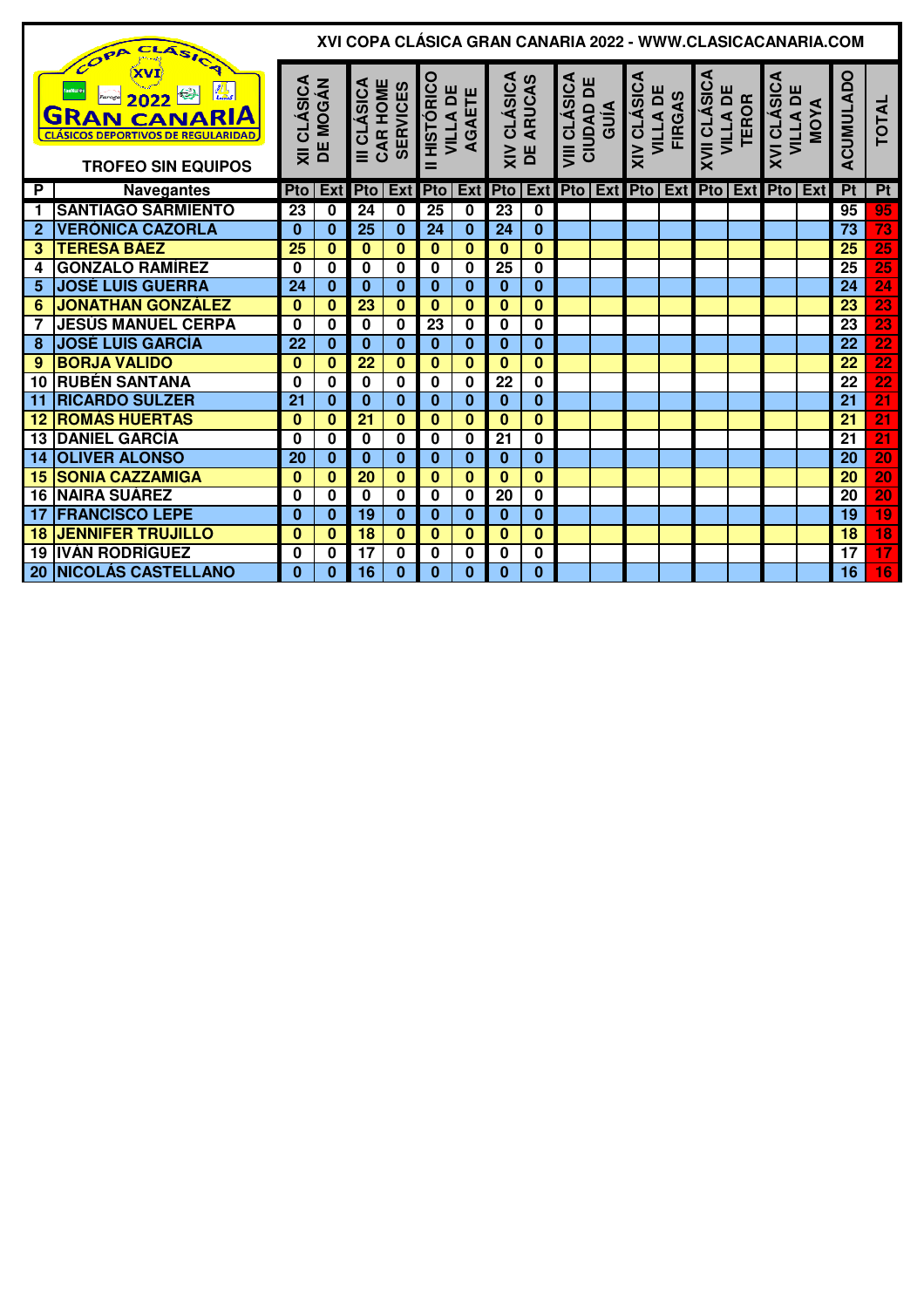|              | XVI COPA CLÁSICA GRAN CANARIA 2022 - WWW.CLASICACANARIA.COM<br>CLASICA<br>COPA<br>XVI                               |                                 |          |                                            |              |                                 |              |                          |                         |                                   |  |                                                        |  |                                            |                           |             |                         |                 |                          |
|--------------|---------------------------------------------------------------------------------------------------------------------|---------------------------------|----------|--------------------------------------------|--------------|---------------------------------|--------------|--------------------------|-------------------------|-----------------------------------|--|--------------------------------------------------------|--|--------------------------------------------|---------------------------|-------------|-------------------------|-----------------|--------------------------|
|              | <b>ALL</b><br>2022<br><b>GRAN CANARIA</b><br><b>CLÁSICOS DEPORTIVOS DE REGULARIDAD</b><br><b>TROFEO SIN EQUIPOS</b> | <b>XII CLÁSICA<br/>DE MOGÁN</b> |          | III CLÁSICA<br>CAR HOME<br><b>SERVICES</b> |              | HISTÓRICO<br>VILLA DE<br>AGAETE |              | XIV CLÁSICA<br>DE ARUCAS |                         | VIII CLÁSICA<br>CIUDAD DE<br>GUÍA |  | <b>XIV CLÁSICA</b><br><b>VILLA DE</b><br><b>FIRGAS</b> |  | <b>XVII CLÁSICA</b>                        | <b>VILLA DE<br/>TEROR</b> | XVI CLÁSICA | <b>VILLA DE</b><br>MOYA | ACUMULADO       | <b>TOTAL</b>             |
| P            | <b>Navegantes</b>                                                                                                   | <b>Pto</b>                      |          |                                            |              | Ext Pto   Ext Pto   Ext Pto     |              |                          |                         |                                   |  |                                                        |  | <b>Ext Pto Ext Pto Ext Pto Ext Pto Ext</b> |                           |             |                         | P <sub>t</sub>  | Pt                       |
| 1            | <b>SANTIAGO SARMIENTO</b>                                                                                           | 23                              | $\bf{0}$ | $\overline{24}$                            | $\mathbf{0}$ | 25                              | $\mathbf 0$  | 23                       | $\mathbf 0$             |                                   |  |                                                        |  |                                            |                           |             |                         | 95              | 95                       |
| $\mathbf{2}$ | <b>VERÓNICA CAZORLA</b>                                                                                             | $\Omega$                        | $\bf{0}$ | 25                                         | $\bf{0}$     | 24                              | $\bf{0}$     | 24                       | $\bf{0}$                |                                   |  |                                                        |  |                                            |                           |             |                         | 73              | $\overline{73}$          |
| 3            | <b>TERESA BÁEZ</b>                                                                                                  | 25                              | $\bf{0}$ | $\bf{0}$                                   | $\bf{0}$     | $\mathbf{0}$                    | $\bf{0}$     | $\mathbf{0}$             | $\bf{0}$                |                                   |  |                                                        |  |                                            |                           |             |                         | 25              | 25                       |
| 4            | <b>GONZALO RAMÍREZ</b>                                                                                              | 0                               | 0        | 0                                          | 0            | 0                               | 0            | 25                       | 0                       |                                   |  |                                                        |  |                                            |                           |             |                         | 25              | 25                       |
| 5            | <b>JOSÉ LUIS GUERRA</b>                                                                                             | 24                              | $\bf{0}$ | $\bf{0}$                                   | $\bf{0}$     | $\bf{0}$                        | $\bf{0}$     | $\bf{0}$                 | 0                       |                                   |  |                                                        |  |                                            |                           |             |                         | 24              | $\overline{24}$          |
| 6            | <b>JONATHAN GONZÁLEZ</b>                                                                                            | $\bf{0}$                        | $\bf{0}$ | 23                                         | $\bf{0}$     | $\bf{0}$                        | $\bf{0}$     | $\bf{0}$                 | $\mathbf{0}$            |                                   |  |                                                        |  |                                            |                           |             |                         | 23              | 23                       |
|              | <b>JESÚS MANUEL CERPA</b>                                                                                           | 0                               | 0        | $\mathbf 0$                                | $\bf{0}$     | 23                              | $\mathbf 0$  | $\mathbf 0$              | $\overline{\mathbf{0}}$ |                                   |  |                                                        |  |                                            |                           |             |                         | 23              | $\overline{23}$          |
| 8            | <b>JOSÉ LUIS GARCÍA</b>                                                                                             | 22                              | $\bf{0}$ | $\bf{0}$                                   | $\bf{0}$     | $\bf{0}$                        | $\mathbf{0}$ | $\bf{0}$                 | $\bf{0}$                |                                   |  |                                                        |  |                                            |                           |             |                         | 22              | $\overline{22}$          |
| 9            | <b>BORJA VALIDO</b>                                                                                                 | $\bf{0}$                        | $\bf{0}$ | $\overline{22}$                            | $\bf{0}$     | $\bf{0}$                        | $\bf{0}$     | 0                        | $\bf{0}$                |                                   |  |                                                        |  |                                            |                           |             |                         | $\overline{22}$ | $\overline{22}$          |
| 10           | <b>RUBÉN SANTANA</b>                                                                                                | 0                               | 0        | 0                                          | $\bf{0}$     | $\bf{0}$                        | $\bf{0}$     | 22                       | 0                       |                                   |  |                                                        |  |                                            |                           |             |                         | 22              | 22                       |
| 11           | <b>RICARDO SULZER</b>                                                                                               | 21                              | $\bf{0}$ | $\bf{0}$                                   | $\bf{0}$     | $\bf{0}$                        | $\bf{0}$     | $\bf{0}$                 | $\bf{0}$                |                                   |  |                                                        |  |                                            |                           |             |                         | 21              | $\overline{21}$          |
| 12           | <b>ROMÁS HUERTAS</b>                                                                                                | $\bf{0}$                        | $\bf{0}$ | 21                                         | $\bf{0}$     | $\Omega$                        | $\bf{0}$     | $\bf{0}$                 | 0                       |                                   |  |                                                        |  |                                            |                           |             |                         | 21              | $\overline{21}$          |
| 13           | <b>DANIEL GARCÍA</b>                                                                                                | 0                               | 0        | 0                                          | $\bf{0}$     | 0                               | 0            | 21                       | 0                       |                                   |  |                                                        |  |                                            |                           |             |                         | 21              | $\overline{21}$          |
| 14           | <b>OLIVER ALONSO</b>                                                                                                | 20                              | $\bf{0}$ | $\bf{0}$                                   | $\bf{0}$     | $\bf{0}$                        | $\bf{0}$     | $\bf{0}$                 | $\overline{\mathbf{0}}$ |                                   |  |                                                        |  |                                            |                           |             |                         | 20              | $\overline{20}$          |
| 15           | <b>SONIA CAZZAMIGA</b>                                                                                              | $\bf{0}$                        | $\bf{0}$ | 20                                         | $\bf{0}$     | $\bf{0}$                        | $\bf{0}$     | $\bf{0}$                 | 0                       |                                   |  |                                                        |  |                                            |                           |             |                         | 20              | 20                       |
| 16           | <b>NAIRA SUÁREZ</b>                                                                                                 | 0                               | $\bf{0}$ | $\bf{0}$                                   | $\bf{0}$     | $\bf{0}$                        | $\mathbf 0$  | 20                       | 0                       |                                   |  |                                                        |  |                                            |                           |             |                         | 20              | 20                       |
| 17           | <b>FRANCISCO LEPE</b>                                                                                               | $\bf{0}$                        | $\bf{0}$ | 19                                         | $\bf{0}$     | $\bf{0}$                        | $\bf{0}$     | $\bf{0}$                 | $\bf{0}$                |                                   |  |                                                        |  |                                            |                           |             |                         | 19              | 19                       |
| 18           | <b>JENNIFER TRUJILLO</b>                                                                                            | $\bf{0}$                        | $\bf{0}$ | 18                                         | $\bf{0}$     | $\bf{0}$                        | $\bf{0}$     | $\bf{0}$                 | $\bf{0}$                |                                   |  |                                                        |  |                                            |                           |             |                         | 18              | 18                       |
| 19           | <b>IVÁN RODRÍGUEZ</b>                                                                                               | 0                               | 0        | 17                                         | $\bf{0}$     | 0                               | $\bf{0}$     | $\bf{0}$                 | 0                       |                                   |  |                                                        |  |                                            |                           |             |                         | 17              | $\overline{\mathbf{17}}$ |
| 20           | <b>NICOLÁS CASTELLANO</b>                                                                                           | $\Omega$                        | $\bf{0}$ | 16                                         | $\bf{0}$     | $\bf{0}$                        | $\bf{0}$     | 0                        | $\bf{0}$                |                                   |  |                                                        |  |                                            |                           |             |                         | 16              | 16                       |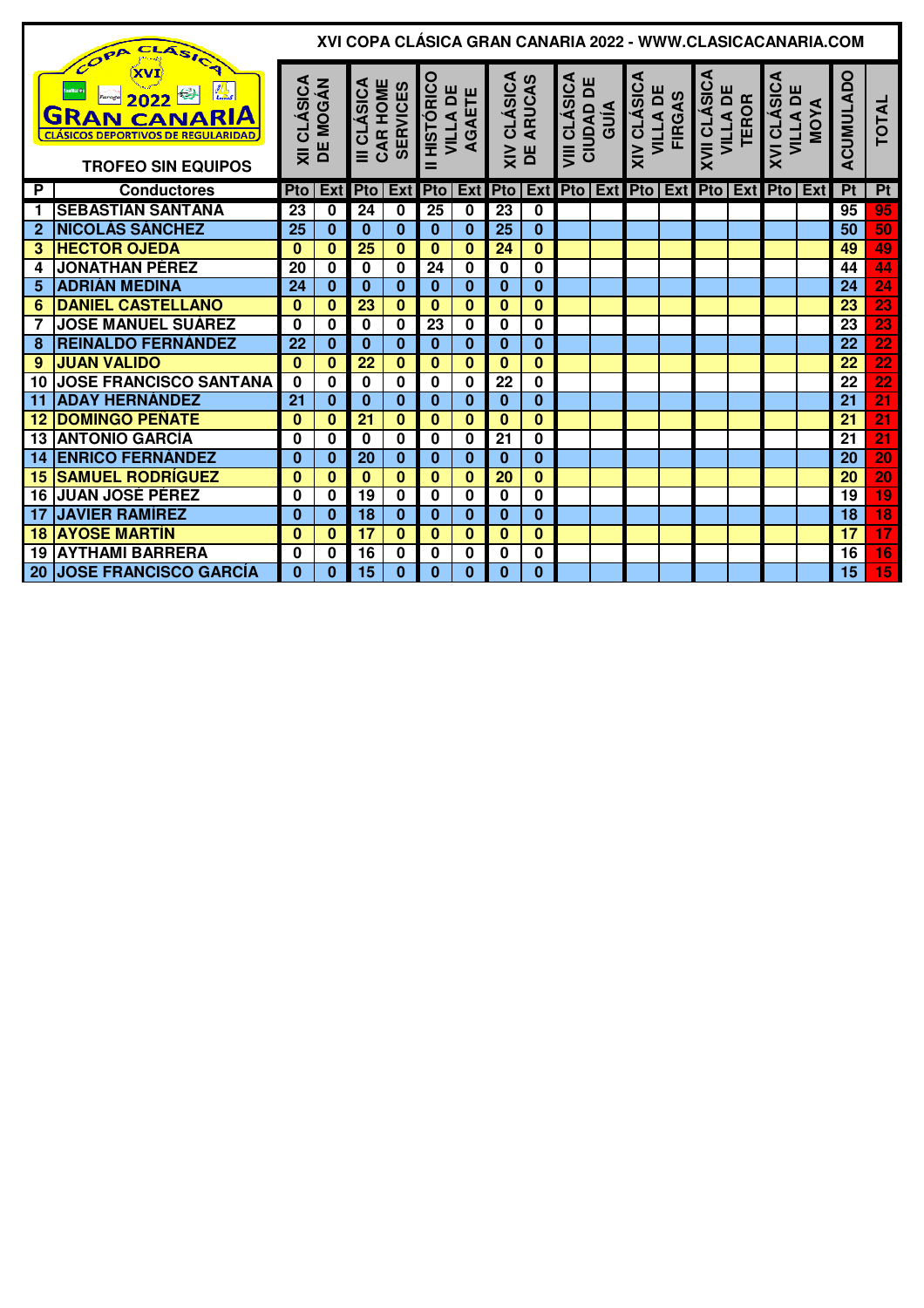|                | CLASICA<br>COPA                                                                                                            |                                           |                                |                         |                 |                 |                    |                          |                         |                                   | XVI COPA CLÁSICA GRAN CANARIA 2022 - WWW.CLASICACANARIA.COM                         |               |                     |                          |             |                                       |                 |                       |
|----------------|----------------------------------------------------------------------------------------------------------------------------|-------------------------------------------|--------------------------------|-------------------------|-----------------|-----------------|--------------------|--------------------------|-------------------------|-----------------------------------|-------------------------------------------------------------------------------------|---------------|---------------------|--------------------------|-------------|---------------------------------------|-----------------|-----------------------|
|                | XVI<br>fanfifot@r<br>2022<br><b>GRAN CANARIA</b><br><b>CLÁSICOS DEPORTIVOS DE REGULARIDAD</b><br><b>TROFEO SIN EQUIPOS</b> | <b>CLÁSICA</b><br>$\overline{\mathsf{x}}$ | <b>MOGÁN</b><br>$\overline{a}$ | III CLÁSICA<br>CAR HOME | <b>SERVICES</b> | HISTÓRICO<br>=  | VILLA DE<br>AGAETE | XIV CLÁSICA<br>DE ARUCAS |                         | VIII CLÁSICA<br>CIUDAD DE<br>GUÍA | <b>XIV CLÁSICA</b><br><b>VILLA DE</b>                                               | <b>FIRGAS</b> | <b>XVII CLÁSICA</b> | VILLA DE<br><b>TEROR</b> | XVI CLÁSICA | <b>VILLA DE</b><br>MOYA<br><b>MOY</b> | ACUMULADO       | <b>TOTAL</b>          |
| P              | <b>Conductores</b>                                                                                                         | <b>Pto</b>                                |                                |                         |                 |                 |                    |                          |                         |                                   | Ext Pto   Ext Pto   Ext Pto   Ext Pto   Ext Pto   Ext Pto   Ext Pto   Ext Pto   Ext |               |                     |                          |             |                                       | Pt              | Pt                    |
| 1              | <b>SEBASTÍAN SANTANA</b>                                                                                                   | 23                                        | 0                              | 24                      | $\mathbf 0$     | 25              | $\mathbf 0$        | 23                       | 0                       |                                   |                                                                                     |               |                     |                          |             |                                       | 95              | 95                    |
| $\overline{2}$ | <b>NICOLÁS SÁNCHEZ</b>                                                                                                     | 25                                        | $\bf{0}$                       | $\bf{0}$                | $\bf{0}$        | $\bf{0}$        | $\bf{0}$           | 25                       | $\mathbf{0}$            |                                   |                                                                                     |               |                     |                          |             |                                       | 50              | 50                    |
| 3              | <b>HECTOR OJEDA</b>                                                                                                        | $\bf{0}$                                  | $\overline{\mathbf{0}}$        | $\overline{25}$         | $\bf{0}$        | $\bf{0}$        | $\bf{0}$           | 24                       | $\overline{\mathbf{0}}$ |                                   |                                                                                     |               |                     |                          |             |                                       | 49              | 49                    |
| 4              | <b>JONATHAN PÉREZ</b>                                                                                                      | 20                                        | 0                              | 0                       | 0               | 24              | 0                  | $\bf{0}$                 | 0                       |                                   |                                                                                     |               |                     |                          |             |                                       | 44              | 44                    |
| 5              | <b>ADRIÁN MEDINA</b>                                                                                                       | 24                                        | $\bf{0}$                       | $\bf{0}$                | $\bf{0}$        | $\bf{0}$        | $\bf{0}$           | $\bf{0}$                 | $\bf{0}$                |                                   |                                                                                     |               |                     |                          |             |                                       | 24              | $\overline{24}$       |
| 6              | <b>DANIEL CASTELLANO</b>                                                                                                   | $\bf{0}$                                  | $\bf{0}$                       | 23                      | $\bf{0}$        | $\bf{0}$        | $\bf{0}$           | 0                        | $\mathbf{0}$            |                                   |                                                                                     |               |                     |                          |             |                                       | 23              | 23                    |
|                | <b>JOSE MANUEL SUÁREZ</b>                                                                                                  | 0                                         | $\overline{\mathbf{0}}$        | $\mathbf 0$             | $\bf{0}$        | $\overline{23}$ | $\mathbf 0$        | $\bf{0}$                 | $\overline{\mathbf{0}}$ |                                   |                                                                                     |               |                     |                          |             |                                       | 23              | $\overline{{\bf 23}}$ |
| 8              | <b>REINALDO FERNÁNDEZ</b>                                                                                                  | 22                                        | $\bf{0}$                       | $\bf{0}$                | $\bf{0}$        | $\bf{0}$        | $\bf{0}$           | $\bf{0}$                 | 0                       |                                   |                                                                                     |               |                     |                          |             |                                       | 22              | $\overline{22}$       |
| 9              | <b>JUAN VALIDO</b>                                                                                                         | $\bf{0}$                                  | $\bf{0}$                       | 22                      | $\Omega$        | $\bf{0}$        | $\mathbf{0}$       | 0                        | 0                       |                                   |                                                                                     |               |                     |                          |             |                                       | 22              | 22                    |
| 10             | <b>JOSE FRANCISCO SANTANA</b>                                                                                              | $\bf{0}$                                  | 0                              | $\bf{0}$                | $\bf{0}$        | $\bf{0}$        | 0                  | 22                       | 0                       |                                   |                                                                                     |               |                     |                          |             |                                       | 22              | $\overline{22}$       |
| 11             | <b>ADAY HERNÁNDEZ</b>                                                                                                      | 21                                        | $\bf{0}$                       | $\bf{0}$                | $\bf{0}$        | $\bf{0}$        | $\bf{0}$           | $\bf{0}$                 | $\bf{0}$                |                                   |                                                                                     |               |                     |                          |             |                                       | 21              | $\overline{21}$       |
| 12             | <b>DOMINGO PEÑATE</b>                                                                                                      | $\bf{0}$                                  | $\bf{0}$                       | 21                      | $\bf{0}$        | $\bf{0}$        | $\bf{0}$           | $\bf{0}$                 | $\bf{0}$                |                                   |                                                                                     |               |                     |                          |             |                                       | 21              | $\overline{21}$       |
| 13             | <b>ANTONIO GARCÍA</b>                                                                                                      | 0                                         | 0                              | 0                       | $\bf{0}$        | 0               | 0                  | 21                       | 0                       |                                   |                                                                                     |               |                     |                          |             |                                       | 21              | $\overline{21}$       |
| -14            | <b>ENRICO FERNÁNDEZ</b>                                                                                                    | $\bf{0}$                                  | $\bf{0}$                       | 20                      | $\bf{0}$        | $\bf{0}$        | $\bf{0}$           | $\bf{0}$                 | $\bf{0}$                |                                   |                                                                                     |               |                     |                          |             |                                       | 20              | $\overline{20}$       |
| 15             | <b>SAMUEL RODRÍGUEZ</b>                                                                                                    | $\bf{0}$                                  | $\bf{0}$                       | $\bf{0}$                | $\bf{0}$        | $\bf{0}$        | $\bf{0}$           | 20                       | 0                       |                                   |                                                                                     |               |                     |                          |             |                                       | 20              | $\overline{20}$       |
| 16             | <b>JUAN JOSÉ PÉREZ</b>                                                                                                     | 0                                         | $\bf{0}$                       | 19                      | $\bf{0}$        | 0               | 0                  | $\bf{0}$                 | $\overline{\mathbf{0}}$ |                                   |                                                                                     |               |                     |                          |             |                                       | $\overline{19}$ | $\overline{19}$       |
| 17             | <b>JAVIER RAMÍREZ</b>                                                                                                      | $\bf{0}$                                  | $\bf{0}$                       | 18                      | $\bf{0}$        | $\bf{0}$        | $\bf{0}$           | $\bf{0}$                 | $\bf{0}$                |                                   |                                                                                     |               |                     |                          |             |                                       | 18              | $\overline{18}$       |
| 18             | <b>AYOSE MARTIN</b>                                                                                                        | $\bf{0}$                                  | $\bf{0}$                       | 17                      | $\bf{0}$        | $\bf{0}$        | $\bf{0}$           | 0                        | 0                       |                                   |                                                                                     |               |                     |                          |             |                                       | 17              | $\overline{17}$       |
| 19             | IAYTHAMI BARRERA                                                                                                           | 0                                         | 0                              | 16                      | $\bf{0}$        | 0               | $\bf{0}$           | $\bf{0}$                 | 0                       |                                   |                                                                                     |               |                     |                          |             |                                       | 16              | $\overline{16}$       |
| 20             | <b>JOSE FRANCISCO GARCÍA</b>                                                                                               | $\Omega$                                  | $\Omega$                       | 15                      | $\bf{0}$        | $\bf{0}$        | $\bf{0}$           | 0                        | $\bf{0}$                |                                   |                                                                                     |               |                     |                          |             |                                       | 15              | $\overline{15}$       |